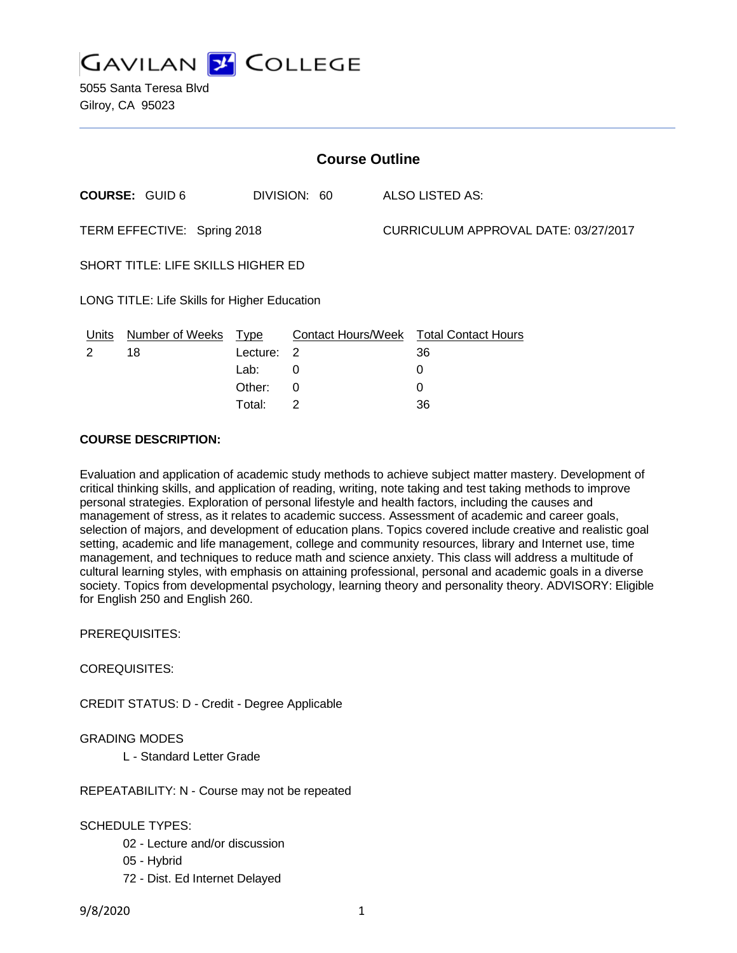

| <b>Course Outline</b>                        |                       |          |                |  |                                        |  |
|----------------------------------------------|-----------------------|----------|----------------|--|----------------------------------------|--|
|                                              | <b>COURSE: GUID 6</b> |          | DIVISION: 60   |  | ALSO LISTED AS:                        |  |
| TERM EFFECTIVE: Spring 2018                  |                       |          |                |  | CURRICULUM APPROVAL DATE: 03/27/2017   |  |
| SHORT TITLE: LIFE SKILLS HIGHER ED           |                       |          |                |  |                                        |  |
| LONG TITLE: Life Skills for Higher Education |                       |          |                |  |                                        |  |
| Units                                        | Number of Weeks Type  |          |                |  | Contact Hours/Week Total Contact Hours |  |
| 2                                            | 18                    | Lecture: | $\overline{2}$ |  | 36                                     |  |
|                                              |                       | Lab:     | 0              |  | 0                                      |  |
|                                              |                       | Other:   | 0              |  | 0                                      |  |

Total: 2 36

# **COURSE DESCRIPTION:**

Evaluation and application of academic study methods to achieve subject matter mastery. Development of critical thinking skills, and application of reading, writing, note taking and test taking methods to improve personal strategies. Exploration of personal lifestyle and health factors, including the causes and management of stress, as it relates to academic success. Assessment of academic and career goals, selection of majors, and development of education plans. Topics covered include creative and realistic goal setting, academic and life management, college and community resources, library and Internet use, time management, and techniques to reduce math and science anxiety. This class will address a multitude of cultural learning styles, with emphasis on attaining professional, personal and academic goals in a diverse society. Topics from developmental psychology, learning theory and personality theory. ADVISORY: Eligible for English 250 and English 260.

PREREQUISITES:

COREQUISITES:

CREDIT STATUS: D - Credit - Degree Applicable

## GRADING MODES

L - Standard Letter Grade

REPEATABILITY: N - Course may not be repeated

SCHEDULE TYPES:

- 02 Lecture and/or discussion
- 05 Hybrid
- 72 Dist. Ed Internet Delayed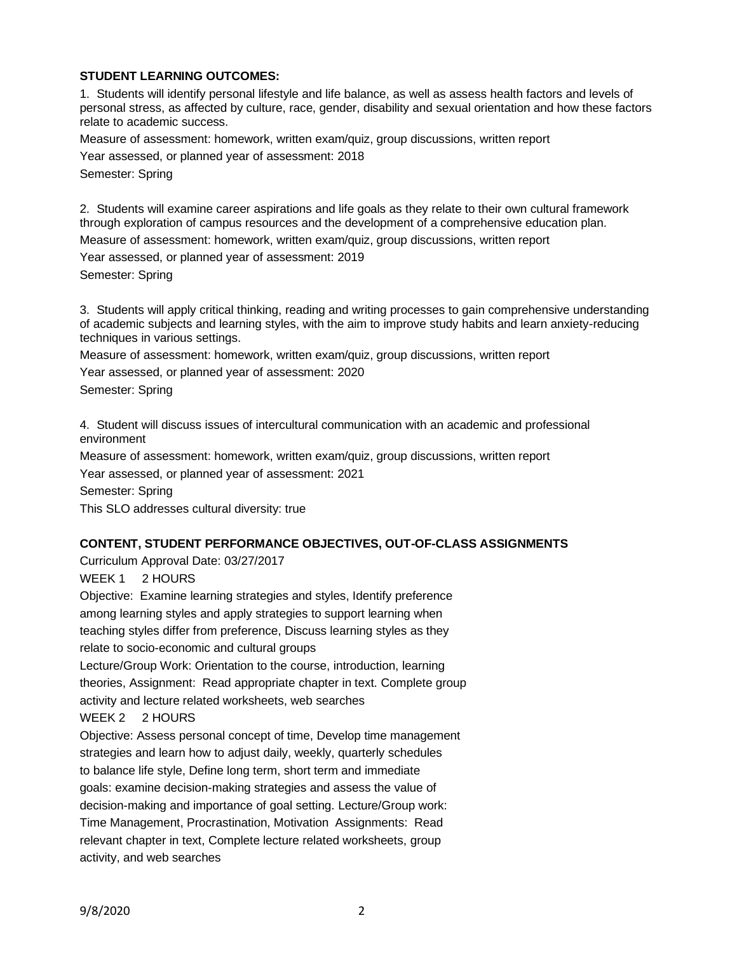# **STUDENT LEARNING OUTCOMES:**

1. Students will identify personal lifestyle and life balance, as well as assess health factors and levels of personal stress, as affected by culture, race, gender, disability and sexual orientation and how these factors relate to academic success.

Measure of assessment: homework, written exam/quiz, group discussions, written report

Year assessed, or planned year of assessment: 2018

Semester: Spring

2. Students will examine career aspirations and life goals as they relate to their own cultural framework through exploration of campus resources and the development of a comprehensive education plan.

Measure of assessment: homework, written exam/quiz, group discussions, written report

Year assessed, or planned year of assessment: 2019

Semester: Spring

3. Students will apply critical thinking, reading and writing processes to gain comprehensive understanding of academic subjects and learning styles, with the aim to improve study habits and learn anxiety-reducing techniques in various settings.

Measure of assessment: homework, written exam/quiz, group discussions, written report Year assessed, or planned year of assessment: 2020

Semester: Spring

4. Student will discuss issues of intercultural communication with an academic and professional environment

Measure of assessment: homework, written exam/quiz, group discussions, written report

Year assessed, or planned year of assessment: 2021

Semester: Spring

This SLO addresses cultural diversity: true

## **CONTENT, STUDENT PERFORMANCE OBJECTIVES, OUT-OF-CLASS ASSIGNMENTS**

Curriculum Approval Date: 03/27/2017

WEEK 1 2 HOURS

Objective: Examine learning strategies and styles, Identify preference among learning styles and apply strategies to support learning when teaching styles differ from preference, Discuss learning styles as they relate to socio-economic and cultural groups

Lecture/Group Work: Orientation to the course, introduction, learning theories, Assignment: Read appropriate chapter in text. Complete group activity and lecture related worksheets, web searches WEEK 2 2 HOURS

Objective: Assess personal concept of time, Develop time management strategies and learn how to adjust daily, weekly, quarterly schedules to balance life style, Define long term, short term and immediate goals: examine decision-making strategies and assess the value of decision-making and importance of goal setting. Lecture/Group work: Time Management, Procrastination, Motivation Assignments: Read relevant chapter in text, Complete lecture related worksheets, group activity, and web searches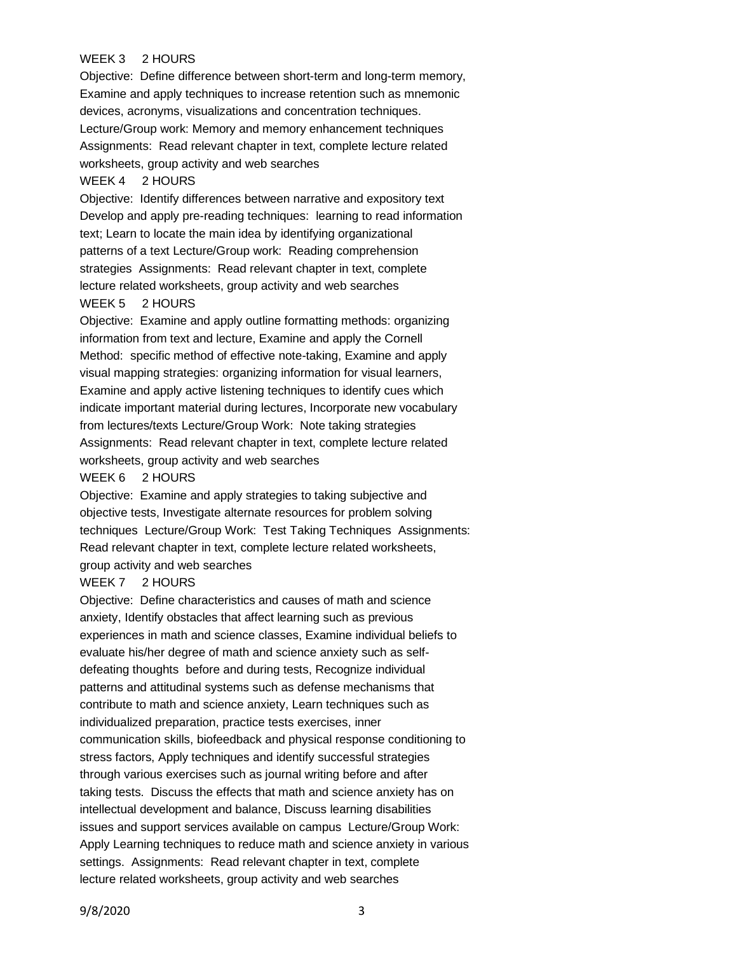## WEEK 3 2 HOURS

Objective: Define difference between short-term and long-term memory, Examine and apply techniques to increase retention such as mnemonic devices, acronyms, visualizations and concentration techniques. Lecture/Group work: Memory and memory enhancement techniques Assignments: Read relevant chapter in text, complete lecture related worksheets, group activity and web searches

### WEEK 4 2 HOURS

Objective: Identify differences between narrative and expository text Develop and apply pre-reading techniques: learning to read information text; Learn to locate the main idea by identifying organizational patterns of a text Lecture/Group work: Reading comprehension strategies Assignments: Read relevant chapter in text, complete lecture related worksheets, group activity and web searches

#### WEEK 5 2 HOURS

Objective: Examine and apply outline formatting methods: organizing information from text and lecture, Examine and apply the Cornell Method: specific method of effective note-taking, Examine and apply visual mapping strategies: organizing information for visual learners, Examine and apply active listening techniques to identify cues which indicate important material during lectures, Incorporate new vocabulary from lectures/texts Lecture/Group Work: Note taking strategies Assignments: Read relevant chapter in text, complete lecture related worksheets, group activity and web searches

### WEEK 6 2 HOURS

Objective: Examine and apply strategies to taking subjective and objective tests, Investigate alternate resources for problem solving techniques Lecture/Group Work: Test Taking Techniques Assignments: Read relevant chapter in text, complete lecture related worksheets, group activity and web searches

#### WEEK 7 2 HOURS

Objective: Define characteristics and causes of math and science anxiety, Identify obstacles that affect learning such as previous experiences in math and science classes, Examine individual beliefs to evaluate his/her degree of math and science anxiety such as selfdefeating thoughts before and during tests, Recognize individual patterns and attitudinal systems such as defense mechanisms that contribute to math and science anxiety, Learn techniques such as individualized preparation, practice tests exercises, inner communication skills, biofeedback and physical response conditioning to stress factors, Apply techniques and identify successful strategies through various exercises such as journal writing before and after taking tests. Discuss the effects that math and science anxiety has on intellectual development and balance, Discuss learning disabilities issues and support services available on campus Lecture/Group Work: Apply Learning techniques to reduce math and science anxiety in various settings. Assignments: Read relevant chapter in text, complete lecture related worksheets, group activity and web searches

9/8/2020 3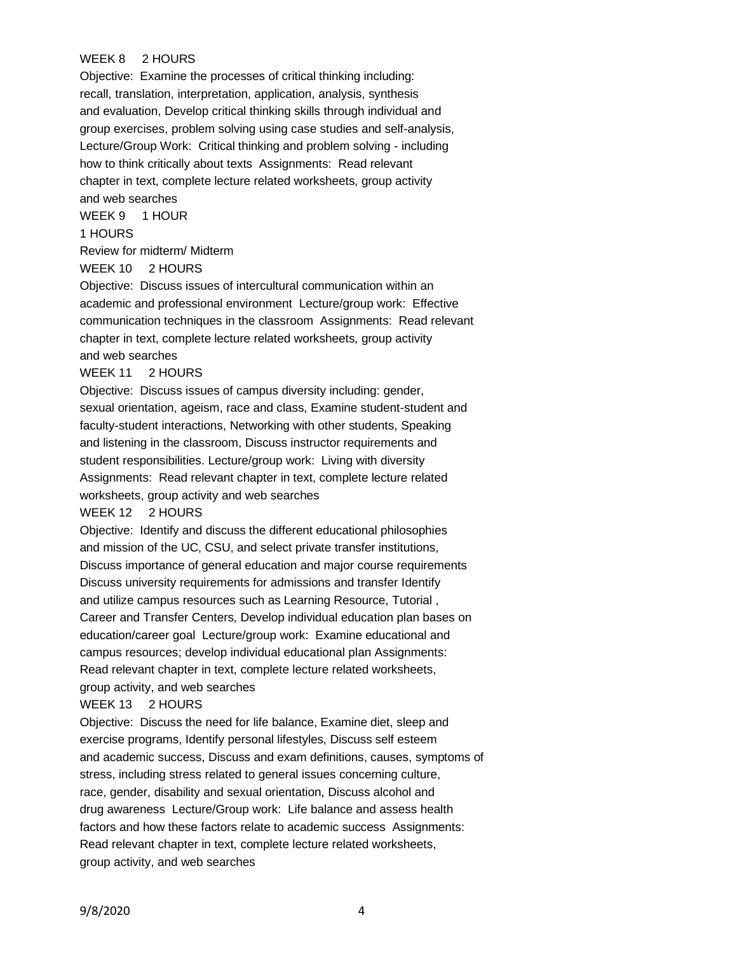### WEEK 8 2 HOURS

Objective: Examine the processes of critical thinking including: recall, translation, interpretation, application, analysis, synthesis and evaluation, Develop critical thinking skills through individual and group exercises, problem solving using case studies and self-analysis, Lecture/Group Work: Critical thinking and problem solving - including how to think critically about texts Assignments: Read relevant chapter in text, complete lecture related worksheets, group activity and web searches

WEEK 9 1 HOUR

## 1 HOURS

Review for midterm/ Midterm

#### WEEK 10 2 HOURS

Objective: Discuss issues of intercultural communication within an academic and professional environment Lecture/group work: Effective communication techniques in the classroom Assignments: Read relevant chapter in text, complete lecture related worksheets, group activity and web searches

#### WEEK 11 2 HOURS

Objective: Discuss issues of campus diversity including: gender, sexual orientation, ageism, race and class, Examine student-student and faculty-student interactions, Networking with other students, Speaking and listening in the classroom, Discuss instructor requirements and student responsibilities. Lecture/group work: Living with diversity Assignments: Read relevant chapter in text, complete lecture related worksheets, group activity and web searches

#### WEEK 12 2 HOURS

Objective: Identify and discuss the different educational philosophies and mission of the UC, CSU, and select private transfer institutions, Discuss importance of general education and major course requirements Discuss university requirements for admissions and transfer Identify and utilize campus resources such as Learning Resource, Tutorial , Career and Transfer Centers, Develop individual education plan bases on education/career goal Lecture/group work: Examine educational and campus resources; develop individual educational plan Assignments: Read relevant chapter in text, complete lecture related worksheets, group activity, and web searches

### WEEK 13 2 HOURS

Objective: Discuss the need for life balance, Examine diet, sleep and exercise programs, Identify personal lifestyles, Discuss self esteem and academic success, Discuss and exam definitions, causes, symptoms of stress, including stress related to general issues concerning culture, race, gender, disability and sexual orientation, Discuss alcohol and drug awareness Lecture/Group work: Life balance and assess health factors and how these factors relate to academic success Assignments: Read relevant chapter in text, complete lecture related worksheets, group activity, and web searches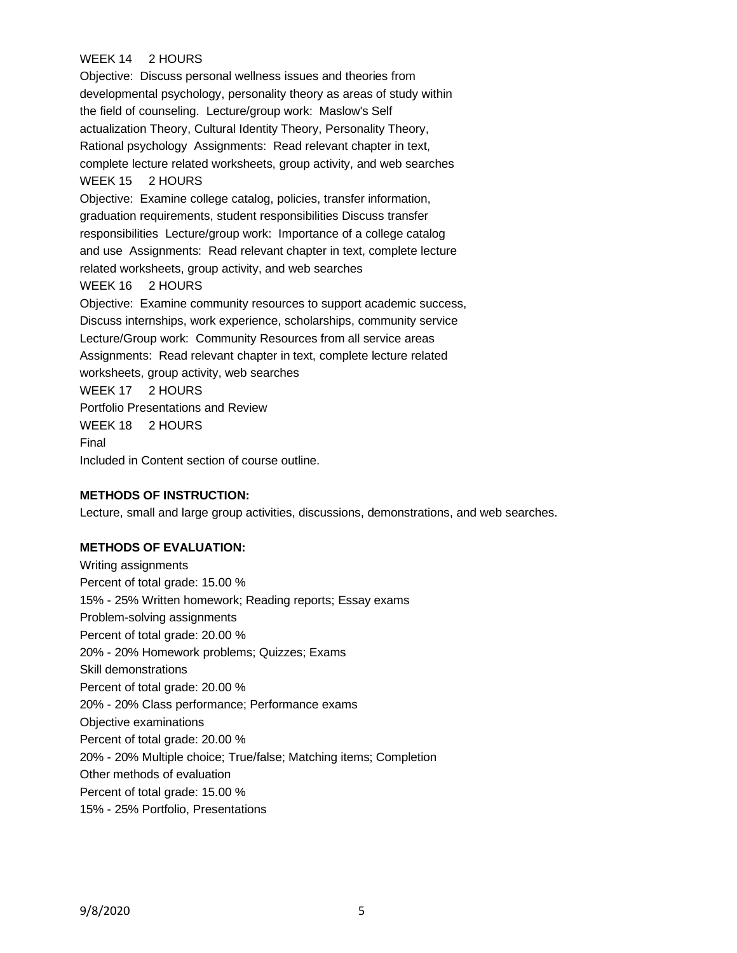# WEEK 14 2 HOURS

Objective: Discuss personal wellness issues and theories from developmental psychology, personality theory as areas of study within the field of counseling. Lecture/group work: Maslow's Self actualization Theory, Cultural Identity Theory, Personality Theory, Rational psychology Assignments: Read relevant chapter in text, complete lecture related worksheets, group activity, and web searches WEEK 15 2 HOURS Objective: Examine college catalog, policies, transfer information, graduation requirements, student responsibilities Discuss transfer responsibilities Lecture/group work: Importance of a college catalog and use Assignments: Read relevant chapter in text, complete lecture related worksheets, group activity, and web searches WEEK 16 2 HOURS Objective: Examine community resources to support academic success, Discuss internships, work experience, scholarships, community service Lecture/Group work: Community Resources from all service areas Assignments: Read relevant chapter in text, complete lecture related worksheets, group activity, web searches WEEK 17 2 HOURS Portfolio Presentations and Review WEEK 18 2 HOURS Final Included in Content section of course outline.

### **METHODS OF INSTRUCTION:**

Lecture, small and large group activities, discussions, demonstrations, and web searches.

### **METHODS OF EVALUATION:**

Writing assignments Percent of total grade: 15.00 % 15% - 25% Written homework; Reading reports; Essay exams Problem-solving assignments Percent of total grade: 20.00 % 20% - 20% Homework problems; Quizzes; Exams Skill demonstrations Percent of total grade: 20.00 % 20% - 20% Class performance; Performance exams Objective examinations Percent of total grade: 20.00 % 20% - 20% Multiple choice; True/false; Matching items; Completion Other methods of evaluation Percent of total grade: 15.00 % 15% - 25% Portfolio, Presentations